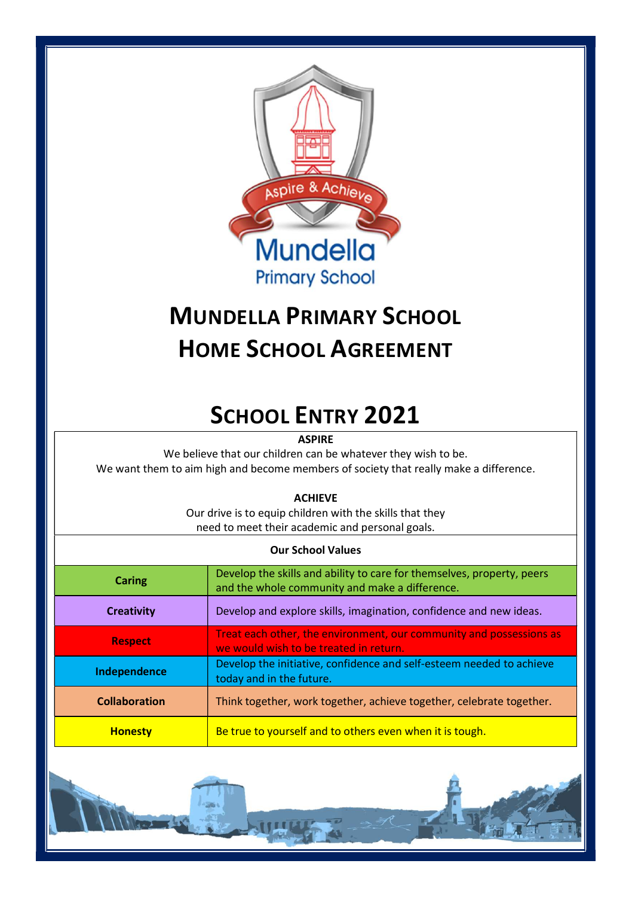

# MUNDELLA PRIMARY SCHOOL HOME SCHOOL AGREEMENT

## SCHOOL ENTRY 2021

**ASPIRE** 

We believe that our children can be whatever they wish to be. We want them to aim high and become members of society that really make a difference.

ACHIEVE

Our drive is to equip children with the skills that they need to meet their academic and personal goals.

| <b>Our School Values</b> |                                                                                                                          |
|--------------------------|--------------------------------------------------------------------------------------------------------------------------|
| Caring                   | Develop the skills and ability to care for themselves, property, peers<br>and the whole community and make a difference. |
| <b>Creativity</b>        | Develop and explore skills, imagination, confidence and new ideas.                                                       |
| <b>Respect</b>           | Treat each other, the environment, our community and possessions as<br>we would wish to be treated in return.            |
| Independence             | Develop the initiative, confidence and self-esteem needed to achieve<br>today and in the future.                         |
| <b>Collaboration</b>     | Think together, work together, achieve together, celebrate together.                                                     |
| <b>Honesty</b>           | Be true to yourself and to others even when it is tough.                                                                 |

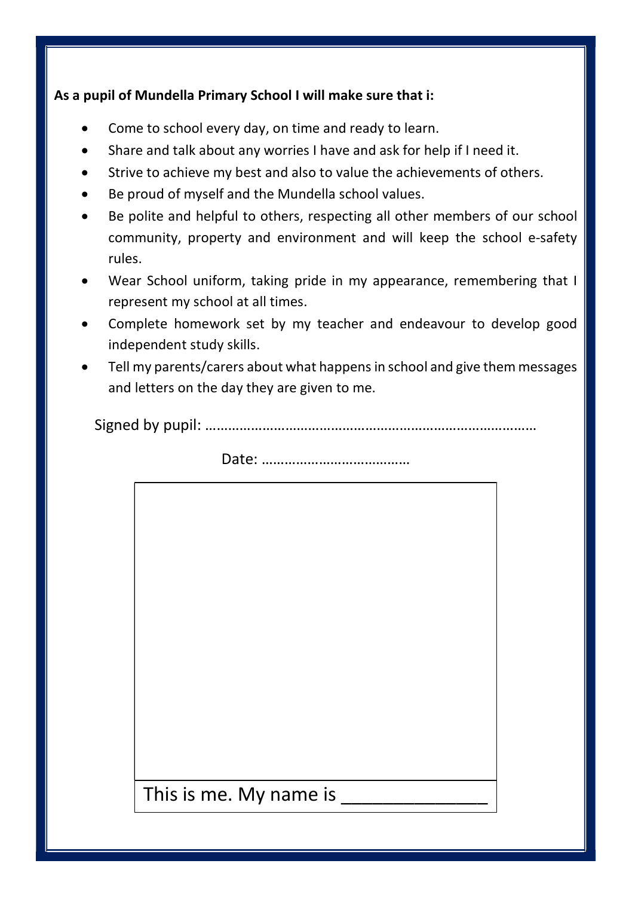#### As a pupil of Mundella Primary School I will make sure that i:

- Come to school every day, on time and ready to learn.
- Share and talk about any worries I have and ask for help if I need it.
- Strive to achieve my best and also to value the achievements of others.
- Be proud of myself and the Mundella school values.
- Be polite and helpful to others, respecting all other members of our school community, property and environment and will keep the school e-safety rules.
- Wear School uniform, taking pride in my appearance, remembering that I represent my school at all times.
- Complete homework set by my teacher and endeavour to develop good independent study skills.
- Tell my parents/carers about what happens in school and give them messages and letters on the day they are given to me.

Signed by pupil: ……………………………………………………………………………

Date: …………………………………

This is me. My name is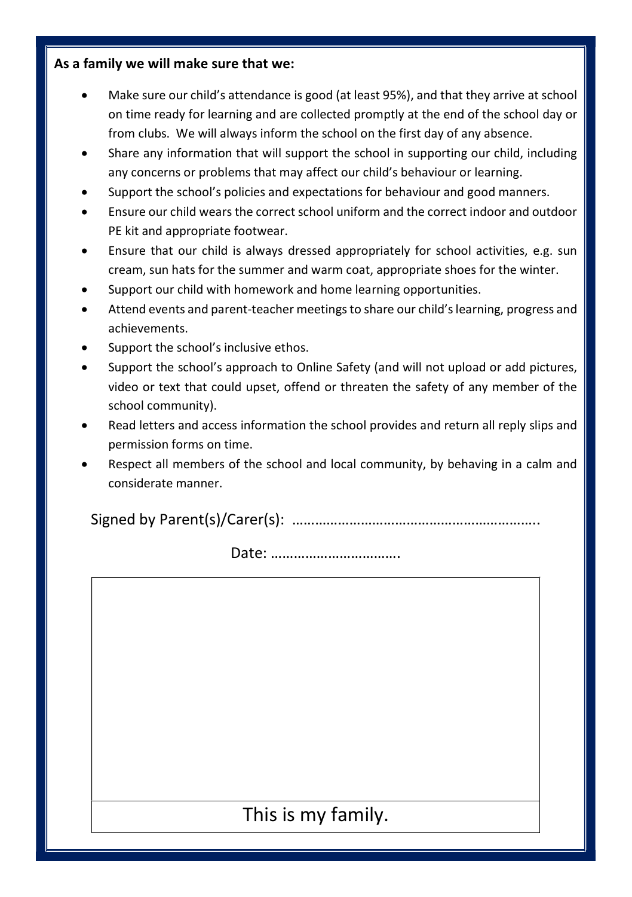#### As a family we will make sure that we:

- Make sure our child's attendance is good (at least 95%), and that they arrive at school on time ready for learning and are collected promptly at the end of the school day or from clubs. We will always inform the school on the first day of any absence.
- Share any information that will support the school in supporting our child, including any concerns or problems that may affect our child's behaviour or learning.
- Support the school's policies and expectations for behaviour and good manners.
- Ensure our child wears the correct school uniform and the correct indoor and outdoor PE kit and appropriate footwear.
- Ensure that our child is always dressed appropriately for school activities, e.g. sun cream, sun hats for the summer and warm coat, appropriate shoes for the winter.
- Support our child with homework and home learning opportunities.
- Attend events and parent-teacher meetings to share our child's learning, progress and achievements.
- Support the school's inclusive ethos.
- Support the school's approach to Online Safety (and will not upload or add pictures, video or text that could upset, offend or threaten the safety of any member of the school community).
- Read letters and access information the school provides and return all reply slips and permission forms on time.
- Respect all members of the school and local community, by behaving in a calm and considerate manner.

Signed by Parent(s)/Carer(s): ………………………………………………………..

Date: …………………………….

This is my family.